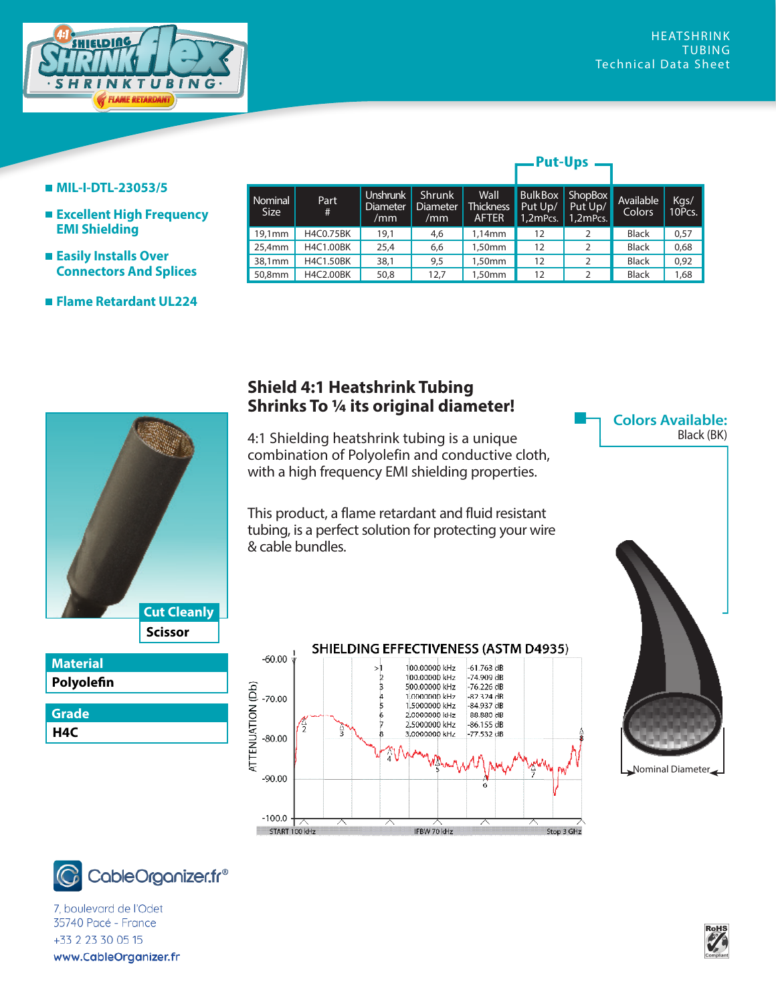

**Colors Available:**

Black (BK)

## **MIL-I-DTL-23053/5**

- **Excellent High Frequency EMI Shielding**
- **Easily Installs Over Connectors And Splices**
- **Flame Retardant UL224**

| <b>Nominal</b><br>Size | Part<br>#        | <b>Unshrunk</b><br><b>Diameter</b><br>/mm | <b>Shrunk</b><br><b>Diameter</b><br>/mm | Wall<br>Thickness<br><b>AFTER</b> | <b>BulkBox</b><br>Put Up/<br>1,2mPcs. | ShopBox<br>Put Up/<br>$1,2$ mPcs. | Available<br>Colors | Kgs/<br>10Pcs. |
|------------------------|------------------|-------------------------------------------|-----------------------------------------|-----------------------------------|---------------------------------------|-----------------------------------|---------------------|----------------|
| 19.1mm                 | H4C0.75BK        | 19,1                                      | 4,6                                     | 1,14mm                            | 12                                    |                                   | <b>Black</b>        | 0,57           |
| 25,4mm                 | H4C1.00BK        | 25,4                                      | 6,6                                     | 1,50mm                            | 12                                    | 2                                 | <b>Black</b>        | 0,68           |
| 38,1mm                 | <b>H4C1.50BK</b> | 38,1                                      | 9,5                                     | 1,50mm                            | 12                                    | 2                                 | <b>Black</b>        | 0,92           |
| 50,8mm                 | H4C2.00BK        | 50,8                                      | 12,7                                    | 1,50mm                            | 12                                    |                                   | <b>Black</b>        | 1,68           |

**Put-Ups** 



 $-60.00$ 

 $-70.00$ 

 $-80.00$ 

 $-90.00$ 

 $-100.0$ START 100 kHz

**ATTENUATION (Db)** 

This product, a flame retardant and fluid resistant tubing, is a perfect solution for protecting your wire & cable bundles.

 $>1$ 

 $\frac{2}{3}$ 

 $\begin{array}{c}\n4 \\
5\n\end{array}$ 

 $\frac{6}{7}$ 

IFBW 70 kHz

**Shield 4:1 Heatshrink Tubing**



Stop 3 GHz



**Scissor Cut Cleanly**

7, boulevard de l'Odet *www.techflex.com* +33 2 23 30 05 15 www.CableOrganizer.fr

**Polyolefin Material**

**H4C Grade**